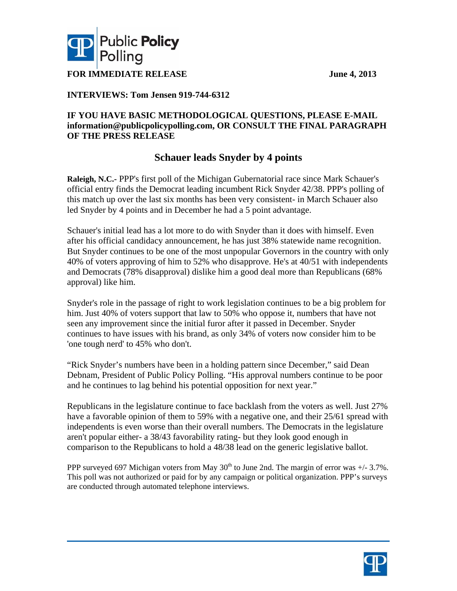



**FOR IMMEDIATE RELEASE June 4, 2013** 

## **INTERVIEWS: Tom Jensen 919-744-6312**

### **IF YOU HAVE BASIC METHODOLOGICAL QUESTIONS, PLEASE E-MAIL information@publicpolicypolling.com, OR CONSULT THE FINAL PARAGRAPH OF THE PRESS RELEASE**

# **Schauer leads Snyder by 4 points**

**Raleigh, N.C.-** PPP's first poll of the Michigan Gubernatorial race since Mark Schauer's official entry finds the Democrat leading incumbent Rick Snyder 42/38. PPP's polling of this match up over the last six months has been very consistent- in March Schauer also led Snyder by 4 points and in December he had a 5 point advantage.

Schauer's initial lead has a lot more to do with Snyder than it does with himself. Even after his official candidacy announcement, he has just 38% statewide name recognition. But Snyder continues to be one of the most unpopular Governors in the country with only 40% of voters approving of him to 52% who disapprove. He's at 40/51 with independents and Democrats (78% disapproval) dislike him a good deal more than Republicans (68% approval) like him.

Snyder's role in the passage of right to work legislation continues to be a big problem for him. Just 40% of voters support that law to 50% who oppose it, numbers that have not seen any improvement since the initial furor after it passed in December. Snyder continues to have issues with his brand, as only 34% of voters now consider him to be 'one tough nerd' to 45% who don't.

"Rick Snyder's numbers have been in a holding pattern since December," said Dean Debnam, President of Public Policy Polling. "His approval numbers continue to be poor and he continues to lag behind his potential opposition for next year."

Republicans in the legislature continue to face backlash from the voters as well. Just 27% have a favorable opinion of them to 59% with a negative one, and their 25/61 spread with independents is even worse than their overall numbers. The Democrats in the legislature aren't popular either- a 38/43 favorability rating- but they look good enough in comparison to the Republicans to hold a 48/38 lead on the generic legislative ballot.

PPP surveyed 697 Michigan voters from May  $30<sup>th</sup>$  to June 2nd. The margin of error was  $+/- 3.7\%$ . This poll was not authorized or paid for by any campaign or political organization. PPP's surveys are conducted through automated telephone interviews.

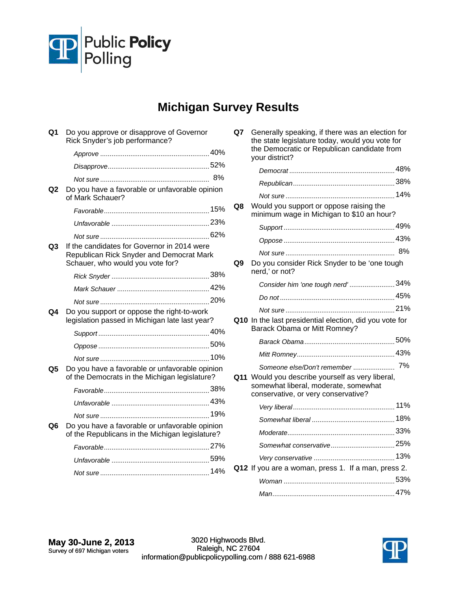

# **Michigan Survey Results**

| Q1 | Do you approve or disapprove of Governor<br>Rick Snyder's job performance?                                                  |  |
|----|-----------------------------------------------------------------------------------------------------------------------------|--|
|    |                                                                                                                             |  |
|    |                                                                                                                             |  |
|    |                                                                                                                             |  |
| Q2 | Do you have a favorable or unfavorable opinion<br>of Mark Schauer?                                                          |  |
|    |                                                                                                                             |  |
|    |                                                                                                                             |  |
|    |                                                                                                                             |  |
| Q3 | If the candidates for Governor in 2014 were<br>Republican Rick Snyder and Democrat Mark<br>Schauer, who would you vote for? |  |
|    |                                                                                                                             |  |
|    |                                                                                                                             |  |
|    |                                                                                                                             |  |
| Q4 | Do you support or oppose the right-to-work<br>legislation passed in Michigan late last year?                                |  |
|    |                                                                                                                             |  |
|    |                                                                                                                             |  |
|    |                                                                                                                             |  |
| Q5 | Do you have a favorable or unfavorable opinion<br>of the Democrats in the Michigan legislature?                             |  |
|    |                                                                                                                             |  |
|    |                                                                                                                             |  |
|    |                                                                                                                             |  |
| Q6 | Do you have a favorable or unfavorable opinion<br>of the Republicans in the Michigan legislature?                           |  |
|    |                                                                                                                             |  |
|    |                                                                                                                             |  |
|    |                                                                                                                             |  |
|    |                                                                                                                             |  |

| Q7  | Generally speaking, if there was an election for<br>the state legislature today, would you vote for<br>the Democratic or Republican candidate from<br>your district? |    |
|-----|----------------------------------------------------------------------------------------------------------------------------------------------------------------------|----|
|     |                                                                                                                                                                      |    |
|     |                                                                                                                                                                      |    |
|     |                                                                                                                                                                      |    |
| Q8  | Would you support or oppose raising the<br>minimum wage in Michigan to \$10 an hour?                                                                                 |    |
|     |                                                                                                                                                                      |    |
|     |                                                                                                                                                                      |    |
|     |                                                                                                                                                                      | 8% |
| Q9  | Do you consider Rick Snyder to be 'one tough<br>nerd,' or not?                                                                                                       |    |
|     | Consider him 'one tough nerd' 34%                                                                                                                                    |    |
|     |                                                                                                                                                                      |    |
|     |                                                                                                                                                                      |    |
|     | Q10 In the last presidential election, did you vote for<br>Barack Obama or Mitt Romney?                                                                              |    |
|     |                                                                                                                                                                      |    |
|     |                                                                                                                                                                      |    |
|     | Someone else/Don't remember  7%                                                                                                                                      |    |
| Q11 | Would you describe yourself as very liberal,<br>somewhat liberal, moderate, somewhat<br>conservative, or very conservative?                                          |    |
|     |                                                                                                                                                                      |    |
|     |                                                                                                                                                                      |    |
|     |                                                                                                                                                                      |    |
|     |                                                                                                                                                                      |    |
|     |                                                                                                                                                                      |    |
|     | Q12 If you are a woman, press 1. If a man, press 2.                                                                                                                  |    |
|     |                                                                                                                                                                      |    |
|     |                                                                                                                                                                      |    |

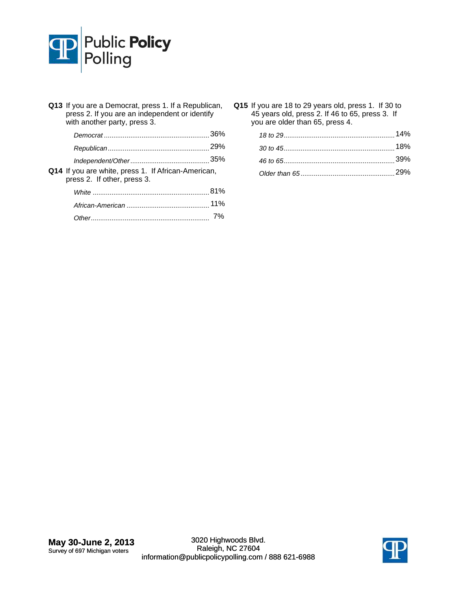

|  | Q13 If you are a Democrat, press 1. If a Republican,<br>press 2. If you are an independent or identify<br>with another party, press 3. |    |
|--|----------------------------------------------------------------------------------------------------------------------------------------|----|
|  |                                                                                                                                        |    |
|  |                                                                                                                                        |    |
|  |                                                                                                                                        |    |
|  | Q14 If you are white, press 1. If African-American,<br>press 2. If other, press 3.                                                     |    |
|  |                                                                                                                                        |    |
|  |                                                                                                                                        |    |
|  |                                                                                                                                        | 7% |

**Q15** If you are 18 to 29 years old, press 1. If 30 to 45 years old, press 2. If 46 to 65, press 3. If you are older than 65, press 4.

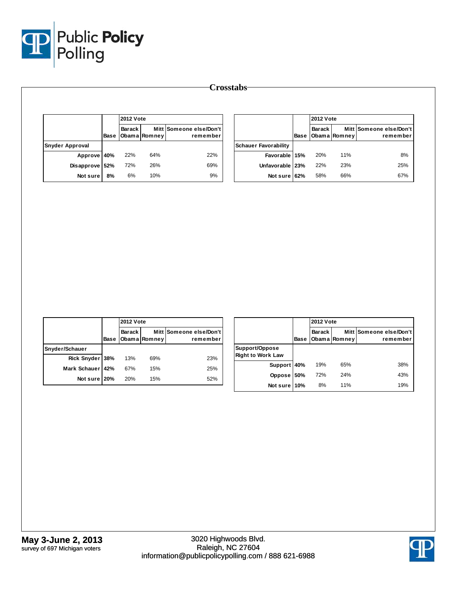

|                        |      | <b>2012 Vote</b> |              |                                     |
|------------------------|------|------------------|--------------|-------------------------------------|
|                        | Base | <b>Barack</b>    | Obama Romney | Mitt Someone else/Don't<br>remember |
| <b>Snyder Approval</b> |      |                  |              |                                     |
| Approve 40%            |      | 22%              | 64%          | 22%                                 |
| Disapprove 52%         |      | 72%              | 26%          | 69%                                 |
| Not sure               | 8%   | 6%               | 10%          | 9%                                  |

|                             |      | <b>2012 Vote</b> |              |                                     |  |
|-----------------------------|------|------------------|--------------|-------------------------------------|--|
|                             | Base | Barack I         | Obama Romney | Mitt Someone else/Don't<br>remember |  |
| <b>Schauer Favorability</b> |      |                  |              |                                     |  |
| Favorable 15%               |      | 20%              | 11%          | 8%                                  |  |
| Unfavorable   23%           |      | 22%              | 23%          | 25%                                 |  |
| Not sure 62%                |      | 58%              | 66%          | 67%                                 |  |

|                  |      | <b>2012 Vote</b> |              |                                     |  |
|------------------|------|------------------|--------------|-------------------------------------|--|
|                  | Base | Barack           | Obama Romney | Mitt Someone else/Don't<br>remember |  |
| Snyder/Schauer   |      |                  |              |                                     |  |
| Rick Snyder 38%  |      | 13%              | 69%          | 23%                                 |  |
| Mark Schauer 42% |      | 67%              | 15%          | 25%                                 |  |
| Not sure 20%     |      | 20%              | 15%          | 52%                                 |  |

|                                            |      |        | <b>2012 Vote</b> |                                     |  |
|--------------------------------------------|------|--------|------------------|-------------------------------------|--|
|                                            | Base | Barack | Obama Romney     | Mitt Someone else/Don't<br>remember |  |
| Support/Oppose<br><b>Right to Work Law</b> |      |        |                  |                                     |  |
| Support                                    | 40%  | 19%    | 65%              | 38%                                 |  |
| <b>Oppose</b>                              | 50%  | 72%    | 24%              | 43%                                 |  |
| Not sure                                   | 10%  | 8%     | 11%              | 19%                                 |  |

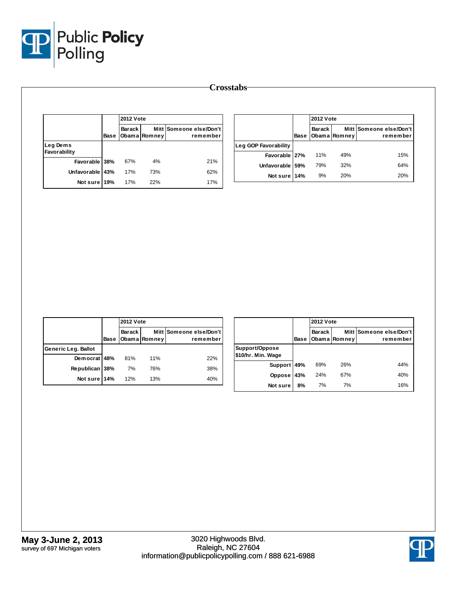

|                          | Base | <b>2012 Vote</b> |              |                                     |  |  |
|--------------------------|------|------------------|--------------|-------------------------------------|--|--|
|                          |      | <b>Barack</b>    | Obama Romney | Mitt Someone else/Don't<br>remember |  |  |
| Leg Dems<br>Favorability |      |                  |              |                                     |  |  |
| Favorable 38%            |      | 67%              | 4%           | 21%                                 |  |  |
| Unfavorable 43%          |      | 17%              | 73%          | 62%                                 |  |  |
| Not sure 19%             |      | 17%              | 22%          | 17%                                 |  |  |

|                      |      | <b>2012 Vote</b> |              |                                     |  |
|----------------------|------|------------------|--------------|-------------------------------------|--|
|                      | Base | Barack I         | Obama Romney | Mitt Someone else/Don't<br>remember |  |
| Leg GOP Favorability |      |                  |              |                                     |  |
| Favorable 27%        |      | 11%              | 49%          | 15%                                 |  |
| Unfavorable          | 59%  | 79%              | 32%          | 64%                                 |  |
| Not sure 14%         |      | 9%               | 20%          | 20%                                 |  |

|                     |      |          | <b>2012 Vote</b> |                                     |  |  |
|---------------------|------|----------|------------------|-------------------------------------|--|--|
|                     | Base | Barack I | Obama Romney     | Mitt Someone else/Don't<br>remember |  |  |
| Generic Leg. Ballot |      |          |                  |                                     |  |  |
| Democrat 48%        |      | 81%      | 11%              | 22%                                 |  |  |
| Republican          | 38%  | 7%       | 76%              | 38%                                 |  |  |
| Not sure 14%        |      | 12%      | 13%              | 40%                                 |  |  |

|                                      |      |        | <b>2012 Vote</b> |                                     |  |
|--------------------------------------|------|--------|------------------|-------------------------------------|--|
|                                      | Base | Barack | Obama Romney     | Mitt Someone else/Don't<br>remember |  |
| Support/Oppose<br>\$10/hr. Min. Wage |      |        |                  |                                     |  |
| <b>Support</b>                       | 49%  | 69%    | 26%              | 44%                                 |  |
| Oppose                               | 43%  | 24%    | 67%              | 40%                                 |  |
| Not sure                             | 8%   | 7%     | 7%               | 16%                                 |  |

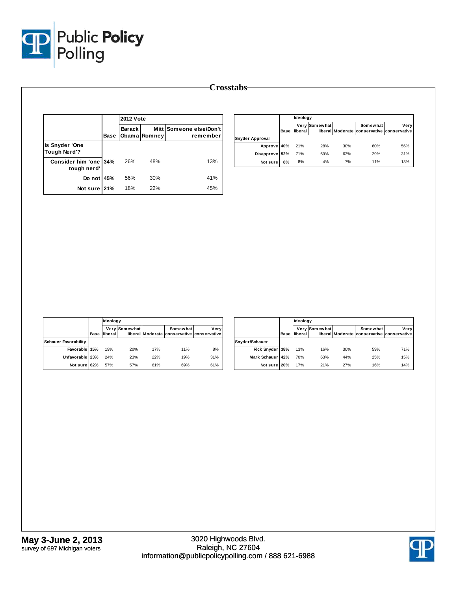

|                                      |      | <b>2012 Vote</b> |              |                                     |  |
|--------------------------------------|------|------------------|--------------|-------------------------------------|--|
|                                      | Base | <b>Barack</b>    | Obama Romney | Mitt Someone else/Don't<br>remember |  |
| Is Snyder 'One<br>Tough Nerd'?       |      |                  |              |                                     |  |
| Consider him 'one 34%<br>tough nerd' |      | 26%              | 48%          | 13%                                 |  |
| Do not 45%                           |      | 56%              | 30%          | 41%                                 |  |
| Not sure 21%                         |      | 18%              | 22%          | 45%                                 |  |

|                 |      | Ideology |               |     |                                                        |      |
|-----------------|------|----------|---------------|-----|--------------------------------------------------------|------|
|                 | Base | liberal  | Very Somewhat |     | Somewhat<br>liberal Moderate conservative conservative | Verv |
| Snyder Approval |      |          |               |     |                                                        |      |
| Approve 40%     |      | 21%      | 28%           | 30% | 60%                                                    | 56%  |
| Disapprove 52%  |      | 71%      | 69%           | 63% | 29%                                                    | 31%  |
| Not sure        | 8%   | 8%       | 4%            | 7%  | 11%                                                    | 13%  |

|                             |      |         | Ideology      |     |                                                        |      |  |  |
|-----------------------------|------|---------|---------------|-----|--------------------------------------------------------|------|--|--|
|                             | Base | liberal | Very Somewhat |     | Somewhat<br>liberal Moderate conservative conservative | Very |  |  |
| <b>Schauer Favorability</b> |      |         |               |     |                                                        |      |  |  |
| Favorable 15%               |      | 19%     | 20%           | 17% | 11%                                                    | 8%   |  |  |
| Unfavorable 23%             |      | 24%     | 23%           | 22% | 19%                                                    | 31%  |  |  |
| Not sure 62%                |      | 57%     | 57%           | 61% | 69%                                                    | 61%  |  |  |

|                  |      |         | <b>Ideology</b> |     |                                                        |      |  |  |
|------------------|------|---------|-----------------|-----|--------------------------------------------------------|------|--|--|
|                  | Base | liberal | Very Somewhat   |     | Somewhat<br>liberal Moderate conservative conservative | Very |  |  |
| Snyder/Schauer   |      |         |                 |     |                                                        |      |  |  |
| Rick Snyder 38%  |      | 13%     | 16%             | 30% | 59%                                                    | 71%  |  |  |
| Mark Schauer 42% |      | 70%     | 63%             | 44% | 25%                                                    | 15%  |  |  |
| Not sure 20%     |      | 17%     | 21%             | 27% | 16%                                                    | 14%  |  |  |

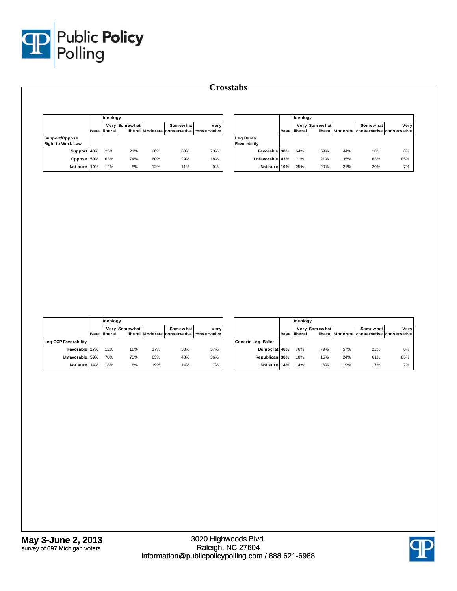

|                                            |      | Ideology |                      |     |                                                        |      |
|--------------------------------------------|------|----------|----------------------|-----|--------------------------------------------------------|------|
|                                            | Base | liberal  | <b>Verv Somewhat</b> |     | Somewhat<br>liberal Moderate conservative conservative | Verv |
| Support/Oppose<br><b>Right to Work Law</b> |      |          |                      |     |                                                        |      |
| Support 40%                                |      | 25%      | 21%                  | 28% | 60%                                                    | 73%  |
| Oppose 50%                                 |      | 63%      | 74%                  | 60% | 29%                                                    | 18%  |
| Not sure 10%                               |      | 12%      | 5%                   | 12% | 11%                                                    | 9%   |

|                          | Base | Ideology |               |     |                                                        |      |
|--------------------------|------|----------|---------------|-----|--------------------------------------------------------|------|
|                          |      | liberal  | Very Somewhat |     | Somewhat<br>liberal Moderate conservative conservative | Very |
| Leg Dems<br>Favorability |      |          |               |     |                                                        |      |
| Favorable 38%            |      | 64%      | 59%           | 44% | 18%                                                    | 8%   |
| Unfavorable              | 43%  | 11%      | 21%           | 35% | 63%                                                    | 85%  |
| Not sure                 | 19%  | 25%      | 20%           | 21% | 20%                                                    | 7%   |

|                      |      |                 | <b>Ideology</b> |     |                                                        |      |  |  |
|----------------------|------|-----------------|-----------------|-----|--------------------------------------------------------|------|--|--|
|                      | Base | <b>Iliberal</b> | Very Somewhat   |     | Somewhat<br>liberal Moderate conservative conservative | Very |  |  |
| Leg GOP Favorability |      |                 |                 |     |                                                        |      |  |  |
| Favorable 27%        |      | 12%             | 18%             | 17% | 38%                                                    | 57%  |  |  |
| Unfavorable 59%      |      | 70%             | 73%             | 63% | 48%                                                    | 36%  |  |  |
| Not sure 14%         |      | 18%             | 8%              | 19% | 14%                                                    | 7%   |  |  |

|                     |      |         | Ideology      |     |                                                        |      |  |  |
|---------------------|------|---------|---------------|-----|--------------------------------------------------------|------|--|--|
|                     | Base | liberal | Very Somewhat |     | Somewhat<br>liberal Moderate conservative conservative | Very |  |  |
| Generic Leg. Ballot |      |         |               |     |                                                        |      |  |  |
| Democrat 48%        |      | 76%     | 79%           | 57% | 22%                                                    | 8%   |  |  |
| Republican 38%      |      | 10%     | 15%           | 24% | 61%                                                    | 85%  |  |  |
| Not sure 14%        |      | 14%     | 6%            | 19% | 17%                                                    | 7%   |  |  |

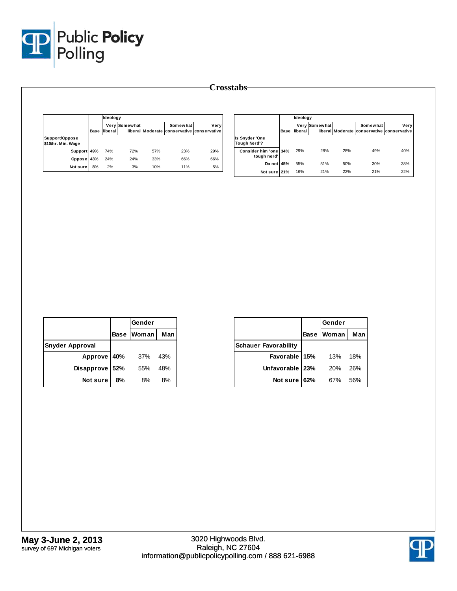

|                                      |      | Ideology |               |     |                                                        |      |
|--------------------------------------|------|----------|---------------|-----|--------------------------------------------------------|------|
|                                      | Base | lliberal | Very Somewhat |     | Somewhat<br>liberal Moderate conservative conservative | Very |
| Support/Oppose<br>\$10/hr. Min. Wage |      |          |               |     |                                                        |      |
| Support 49%                          |      | 74%      | 72%           | 57% | 23%                                                    | 29%  |
| <b>Oppose</b>                        | 43%  | 24%      | 24%           | 33% | 66%                                                    | 66%  |
| Not sure                             | 8%   | 2%       | 3%            | 10% | 11%                                                    | 5%   |

|                                      |      | Ideology |               |     |                                                        |      |
|--------------------------------------|------|----------|---------------|-----|--------------------------------------------------------|------|
|                                      | Base | liberal  | Very Somewhat |     | Somewhat<br>liberal Moderate conservative conservative | Very |
| Is Snyder 'One<br>Tough Nerd'?       |      |          |               |     |                                                        |      |
| Consider him 'one 34%<br>tough nerd' |      | 29%      | 28%           | 28% | 49%                                                    | 40%  |
| Do not I                             | 45%  | 55%      | 51%           | 50% | 30%                                                    | 38%  |
| Not sure 21%                         |      | 16%      | 21%           | 22% | 21%                                                    | 22%  |

|                        |     | Gender     |     |
|------------------------|-----|------------|-----|
|                        |     | Base Woman | Man |
| <b>Snyder Approval</b> |     |            |     |
| Approve 40%            |     | 37%        | 43% |
| Disapprove             | 52% | 55%        | 48% |
| Not sure               | 8%  | 8%         | 8%  |

|                             |             | Gender |     |
|-----------------------------|-------------|--------|-----|
|                             | <b>Base</b> | Woman  | Man |
| <b>Schauer Favorability</b> |             |        |     |
| Favorable 15%               |             | 13%    | 18% |
| Unfavorable   23%           |             | 20%    | 26% |
| Not sure                    | 62%         | 67%    | 56% |

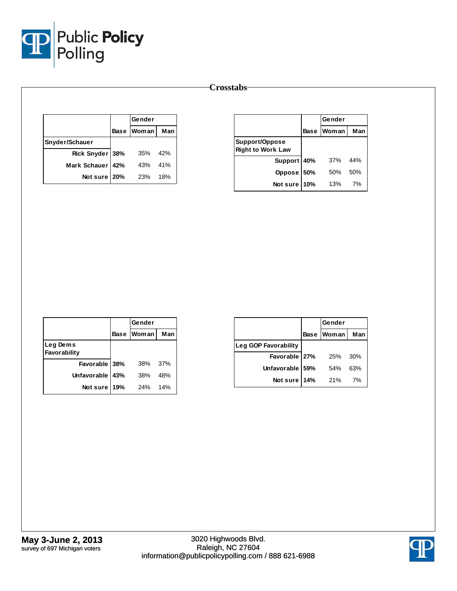

|                  |     | Gender            |     |
|------------------|-----|-------------------|-----|
|                  |     | <b>Base Woman</b> | Man |
| Snyder/Schauer   |     |                   |     |
| Rick Snyder 38%  |     | 35%               | 42% |
| Mark Schauer 42% |     | 43%               | 41% |
| Not sure         | 20% | 23%               | 18% |

|                                            |             | Gender       |     |
|--------------------------------------------|-------------|--------------|-----|
|                                            | <b>Base</b> | <b>Woman</b> | Man |
| Support/Oppose<br><b>Right to Work Law</b> |             |              |     |
| Support 40%                                |             | 37%          | 44% |
| Oppose 50%                                 |             | 50%          | 50% |
| Not sure                                   | 10%         | 13%          | 7%  |

|                          |             | Gender     |     |
|--------------------------|-------------|------------|-----|
|                          | <b>Base</b> | Woman      | Man |
| Leg Dems<br>Favorability |             |            |     |
| Favorable 38%            |             | 38%        | 37% |
| <b>Unfavorable</b>       | 43%         | 38%        | 48% |
| Not sure                 | 19%         | <b>24%</b> | 14% |

|                      |             | Gender |     |
|----------------------|-------------|--------|-----|
|                      | <b>Base</b> | Woman  | Man |
| Leg GOP Favorability |             |        |     |
| Favorable   27%      |             | 25%    | 30% |
| Unfavorable 59%      |             | 54%    | 63% |
| Not sure 14%         |             | 21%    | 7%  |

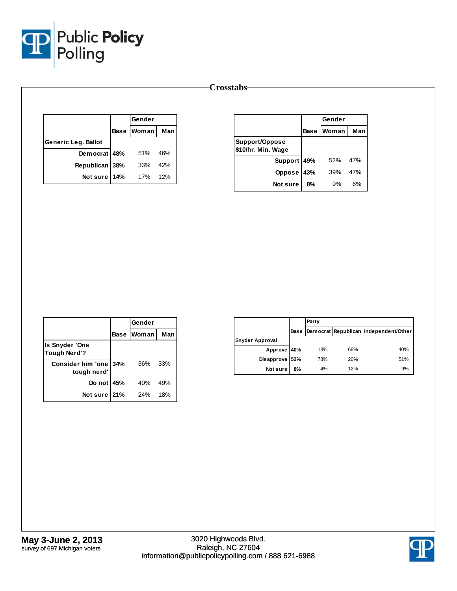

|                     | Gender     |     |
|---------------------|------------|-----|
|                     | Base Woman | Man |
| Generic Leg. Ballot |            |     |
| Democrat 48%        | 51%        | 46% |
| Republican 38%      | 33%        | 42% |
| Not sure 14%        | 17%        | 12% |

|                                      |             | Gender       |     |
|--------------------------------------|-------------|--------------|-----|
|                                      | <b>Base</b> | <b>Woman</b> | Man |
| Support/Oppose<br>\$10/hr. Min. Wage |             |              |     |
| Support 49%                          |             | 52%          | 47% |
| <b>Oppose</b>                        | 43%         | 39%          | 47% |
| Not sure                             | 8%          | 9%           | 6%  |

|                                         |     | Gender            |     |
|-----------------------------------------|-----|-------------------|-----|
|                                         |     | <b>Base Woman</b> | Man |
| Is Snyder 'One<br><b>Tough Nerd'?</b>   |     |                   |     |
| <b>Consider him 'one</b><br>tough nerd' | 34% | 36%               | 33% |
| Do not 45%                              |     | 40%               | 49% |
| Not sure                                | 21% | 24%               | 18% |

|                        |      | Party |     |                                       |
|------------------------|------|-------|-----|---------------------------------------|
|                        | Base |       |     | Democrat Republican Independent/Other |
| <b>Snyder Approval</b> |      |       |     |                                       |
| Approve 40%            |      | 18%   | 68% | 40%                                   |
| Disapprove 52%         |      | 78%   | 20% | 51%                                   |
| Not sure               | 8%   | 4%    | 12% | 9%                                    |

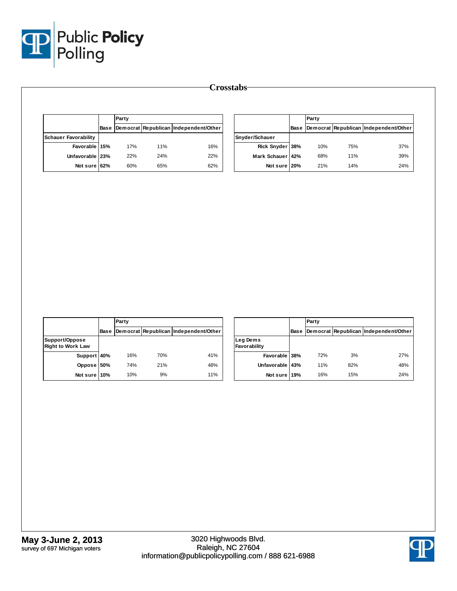

|                                            |             | Party |     |                                       |                          |      | Party |     |                                       |
|--------------------------------------------|-------------|-------|-----|---------------------------------------|--------------------------|------|-------|-----|---------------------------------------|
|                                            | Base        |       |     | Democrat Republican Independent/Other |                          | Base |       |     | Democrat Republican Independent/Other |
| <b>Schauer Favorability</b>                |             |       |     |                                       | Snyder/Schauer           |      |       |     |                                       |
| Favorable 15%                              |             | 17%   | 11% | 16%                                   | Rick Snyder 38%          |      | 10%   | 75% | 37%                                   |
| Unfavorable 23%                            |             | 22%   | 24% | 22%                                   | Mark Schauer 42%         |      | 68%   | 11% | 39%                                   |
| Not sure 62%                               |             | 60%   | 65% | 62%                                   | Not sure 20%             |      | 21%   | 14% | 24%                                   |
|                                            |             |       |     |                                       |                          |      |       |     |                                       |
|                                            |             |       |     |                                       |                          |      |       |     |                                       |
|                                            | <b>Base</b> | Party |     |                                       |                          | Base | Party |     |                                       |
| Support/Oppose<br><b>Right to Work Law</b> |             |       |     | Democrat Republican Independent/Other | Leg Dems<br>Favorability |      |       |     | Democrat Republican Independent/Other |
| Support 40%                                |             | 16%   | 70% | 41%                                   | Favorable 38%            |      | 72%   | 3%  | 27%                                   |
| Oppose 50%                                 |             | 74%   | 21% | 48%                                   | Unfavorable 43%          |      | 11%   | 82% | 48%                                   |

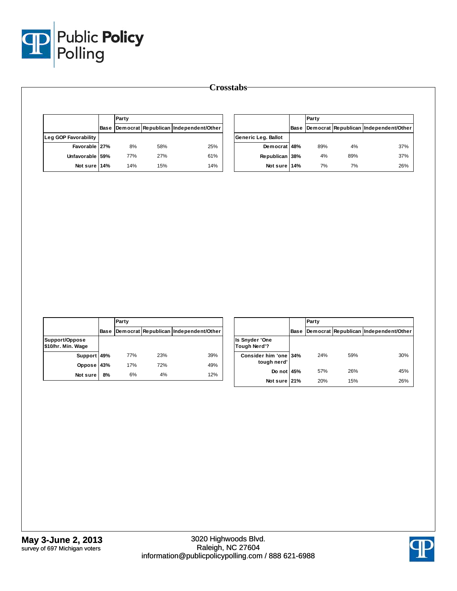

|                             |             | Party |     |                                       |                     | Party |     |                                            |  |
|-----------------------------|-------------|-------|-----|---------------------------------------|---------------------|-------|-----|--------------------------------------------|--|
|                             | <b>Base</b> |       |     | Democrat Republican Independent/Other |                     |       |     | Base Democrat Republican Independent/Other |  |
| <b>Leg GOP Favorability</b> |             |       |     |                                       | Generic Leg. Ballot |       |     |                                            |  |
| Favorable 27%               |             | 8%    | 58% | 25%                                   | Democrat 48%        | 89%   | 4%  | 37%                                        |  |
| Unfavorable 59%             |             | 77%   | 27% | 61%                                   | Republican 38%      | 4%    | 89% | 37%                                        |  |
| Not sure 14%                |             | 14%   | 15% | 14%                                   | Not sure 14%        | 7%    | 7%  | 26%                                        |  |

|                                      |      | Party |     |                                       |
|--------------------------------------|------|-------|-----|---------------------------------------|
|                                      | Base |       |     | Democrat Republican Independent/Other |
| Support/Oppose<br>\$10/hr. Min. Wage |      |       |     |                                       |
| Support 49%                          |      | 77%   | 23% | 39%                                   |
| Oppose                               | 43%  | 17%   | 72% | 49%                                   |
| Not sure                             | 8%   | 6%    | 4%  | 12%                                   |

|                                       |             | Party |     |                                       |
|---------------------------------------|-------------|-------|-----|---------------------------------------|
|                                       | <b>Base</b> |       |     | Democrat Republican Independent/Other |
| <b>Is Snyder 'One</b><br>Tough Nerd'? |             |       |     |                                       |
| Consider him 'one 34%<br>tough nerd'  |             | 24%   | 59% | 30%                                   |
| Do not 45%                            |             | 57%   | 26% | 45%                                   |
| Not sure 21%                          |             | 20%   | 15% | 26%                                   |

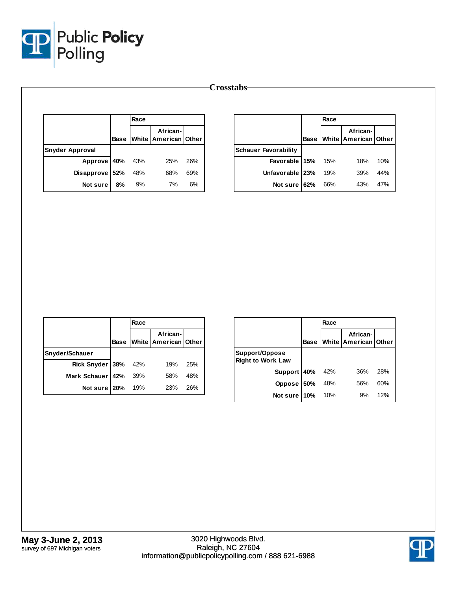

|                        |             | Race |                                  |     |                             |             | Race |                                  |     |  |
|------------------------|-------------|------|----------------------------------|-----|-----------------------------|-------------|------|----------------------------------|-----|--|
|                        | <b>Base</b> |      | African-<br>White American Other |     |                             | <b>Base</b> |      | African-<br>White American Other |     |  |
| <b>Snyder Approval</b> |             |      |                                  |     | <b>Schauer Favorability</b> |             |      |                                  |     |  |
| <b>Approve</b>         | 40%         | 43%  | 25%                              | 26% | <b>Favorable</b>            | 15%         | 15%  | 18%                              | 10% |  |
| <b>Disapprove</b>      | 52%         | 48%  | 68%                              | 69% | Unfavorable   23%           |             | 19%  | 39%                              | 44% |  |
| Not sure               | 8%          | 9%   | 7%                               | 6%  | Not sure 62%                |             | 66%  | 43%                              | 47% |  |

|                     |             | Race |                                  |     |
|---------------------|-------------|------|----------------------------------|-----|
|                     | <b>Base</b> |      | African-<br>White American Other |     |
| Snyder/Schauer      |             |      |                                  |     |
| Rick Snyder 38% 42% |             |      | 19%                              | 25% |
| Mark Schauer 142%   |             | 39%  | 58%                              | 48% |
| Not sure 20%        |             | 19%  | <b>23%</b>                       | 26% |

|                                            |             | Race |                                         |     |
|--------------------------------------------|-------------|------|-----------------------------------------|-----|
|                                            | <b>Base</b> |      | African-<br><b>White American Other</b> |     |
| Support/Oppose<br><b>Right to Work Law</b> |             |      |                                         |     |
| Support 40%                                |             | 42%  | 36%                                     | 28% |
| Oppose 50%                                 |             | 48%  | 56%                                     | 60% |
| Not sure 10%                               |             | 10%  | 9%                                      | 12% |

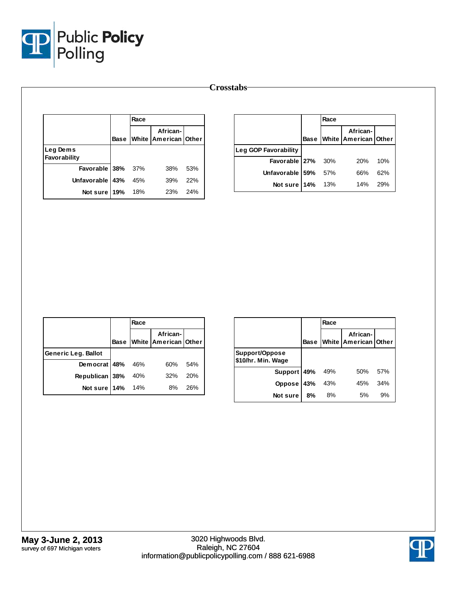

|                  | <b>Crosstabs</b> |      |                                              |     |                      |     |      |                                              |     |
|------------------|------------------|------|----------------------------------------------|-----|----------------------|-----|------|----------------------------------------------|-----|
|                  |                  |      |                                              |     |                      |     |      |                                              |     |
|                  |                  | Race |                                              |     |                      |     | Race |                                              |     |
|                  |                  |      | African-<br><b>Base White American Other</b> |     |                      |     |      | African-<br><b>Base White American Other</b> |     |
| Leg Dems         |                  |      |                                              |     | Leg GOP Favorability |     |      |                                              |     |
| Favorability     |                  |      |                                              |     | Favorable 27%        |     | 30%  | 20%                                          | 10% |
| <b>Favorable</b> | 38%              | 37%  | 38%                                          | 53% | Unfavorable 59%      |     | 57%  | 66%                                          | 62% |
| Unfavorable 43%  |                  | 45%  | 39%                                          | 22% | Not sure             | 14% | 13%  | 14%                                          | 29% |
| Not sure         | 19%              | 18%  | 23%                                          | 24% |                      |     |      |                                              |     |

|                            |             | Race |                                  |     |
|----------------------------|-------------|------|----------------------------------|-----|
|                            | <b>Base</b> |      | African-<br>White American Other |     |
| <b>Generic Leg. Ballot</b> |             |      |                                  |     |
| Democrat $48\%$ 46%        |             |      | 60%                              | 54% |
| Republican 38%             |             | 40%  | 32%                              | 20% |
| Not sure 14% 14%           |             |      | 8%                               | 26% |

|                                      |             | Race |                                  |     |
|--------------------------------------|-------------|------|----------------------------------|-----|
|                                      | <b>Base</b> |      | African-<br>White American Other |     |
| Support/Oppose<br>\$10/hr. Min. Wage |             |      |                                  |     |
| Support 49%                          |             | 49%  | 50%                              | 57% |
| <b>Oppose</b>                        | 43%         | 43%  | 45%                              | 34% |
| Not sure                             | 8%          | 8%   | 5%                               | 9%  |

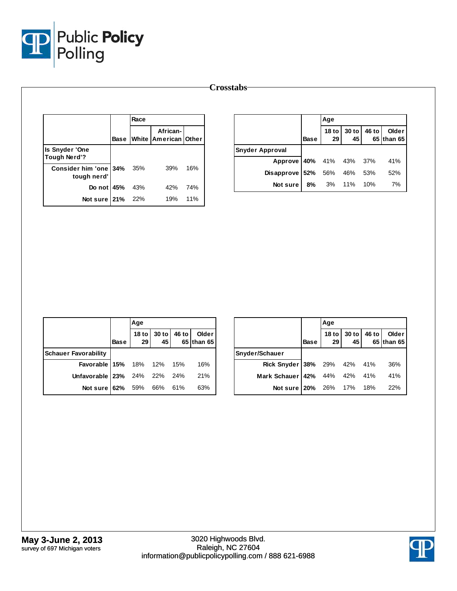

|                                      | Race |                                       |     |                                       |      | Age                    |               |       |                     |
|--------------------------------------|------|---------------------------------------|-----|---------------------------------------|------|------------------------|---------------|-------|---------------------|
|                                      |      | African-<br>Base White American Other |     |                                       | Base | 18 <sub>to</sub><br>29 | $30$ to<br>45 | 46 to | Older<br>65 than 65 |
| Is Snyder 'One<br>Tough Nerd'?       |      |                                       |     | <b>Snyder Approval</b><br>Approve 40% |      | 41%                    | 43%           | 37%   | 41%                 |
| Consider him 'one 34%<br>tough nerd' | 35%  | 39%                                   | 16% | Disapprove 52%                        |      | 56%                    | 46%           | 53%   | 52%                 |
| Do not 45%                           | 43%  | 42%                                   | 74% | Not sure                              | 8%   | 3%                     | 11%           | 10%   | 7%                  |
| Not sure 21%                         | 22%  | 19%                                   | 11% |                                       |      |                        |               |       |                     |

|                                  |      | Age |                            |                     |
|----------------------------------|------|-----|----------------------------|---------------------|
|                                  | Base |     | 18 to 30 to 46 to 29 45 65 | Older<br>65 than 65 |
| <b>Schauer Favorability</b>      |      |     |                            |                     |
| <b>Favorable 15%</b> 18% 12% 15% |      |     |                            | 16%                 |
| Unfavorable 23% 24% 22% 24%      |      |     |                            | 21%                 |
| Not sure 62% 59% 66% 61%         |      |     |                            | 63%                 |

|                              |             | Age |                            |                     |
|------------------------------|-------------|-----|----------------------------|---------------------|
|                              | <b>Base</b> |     | 18 to 30 to 46 to 29 45 65 | Older<br>65 than 65 |
| Snyder/Schauer               |             |     |                            |                     |
| Rick Snyder 38% 29% 42% 41%  |             |     |                            | 36%                 |
| Mark Schauer 42% 44% 42% 41% |             |     |                            | 41%                 |
| Not sure 20% 26% 17% 18%     |             |     |                            | 22%                 |

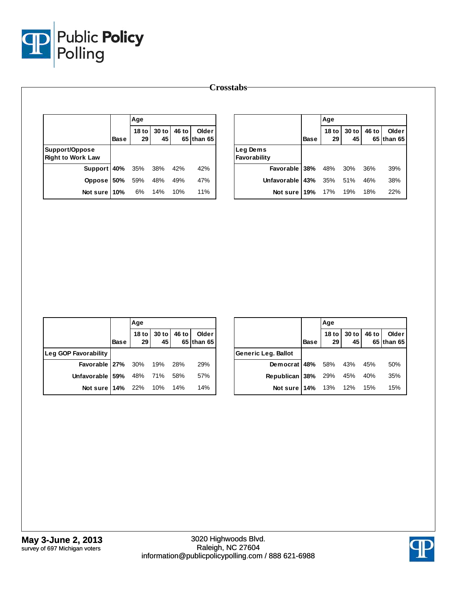

|                                            |             | Age                    |             |       |                     |                          |             | Age                 |               |       |                     |
|--------------------------------------------|-------------|------------------------|-------------|-------|---------------------|--------------------------|-------------|---------------------|---------------|-------|---------------------|
|                                            | <b>Base</b> | 18 <sub>to</sub><br>29 | 30 to<br>45 | 46 to | Older<br>65 than 65 |                          | <b>Base</b> | 18 to $\vert$<br>29 | $30$ to<br>45 | 46 to | Older<br>65 than 65 |
| Support/Oppose<br><b>Right to Work Law</b> |             |                        |             |       |                     | Leg Dems<br>Favorability |             |                     |               |       |                     |
| Support 40%                                |             | 35%                    | 38%         | 42%   | 42%                 | Favorable                | 38%         | 48%                 | 30%           | 36%   | 39%                 |
| Oppose 50%                                 |             | 59%                    | 48%         | 49%   | 47%                 | Unfavorable              | 143%        | 35%                 | 51%           | 46%   | 38%                 |
| Not sure 10%                               |             | 6%                     | 14%         | 10%   | 11%                 | Not sure                 | 19%         | 17%                 | 19%           | 18%   | 22%                 |

|                             |      | Age |                            |                         |
|-----------------------------|------|-----|----------------------------|-------------------------|
|                             | Base |     | 18 to 30 to 46 to 29 45 65 | Older<br>$65$ than $65$ |
| Leg GOP Favorability        |      |     |                            |                         |
| Favorable 27% 30% 19% 28%   |      |     |                            | 29%                     |
| Unfavorable 59% 48% 71% 58% |      |     |                            | 57%                     |
| Not sure 14% 22% 10% 14%    |      |     |                            | 14%                     |

|                            |             | Age |                            |  |                     |  |  |  |
|----------------------------|-------------|-----|----------------------------|--|---------------------|--|--|--|
|                            | <b>Base</b> |     | 18 to 30 to 46 to 29 45 65 |  | Older<br>65 than 65 |  |  |  |
| Generic Leg. Ballot        |             |     |                            |  |                     |  |  |  |
| Democrat 48% 58% 43% 45%   |             |     |                            |  | 50%                 |  |  |  |
| Republican 38% 29% 45% 40% |             |     |                            |  | 35%                 |  |  |  |
| Not sure 14% 13% 12% 15%   |             |     |                            |  | 15%                 |  |  |  |